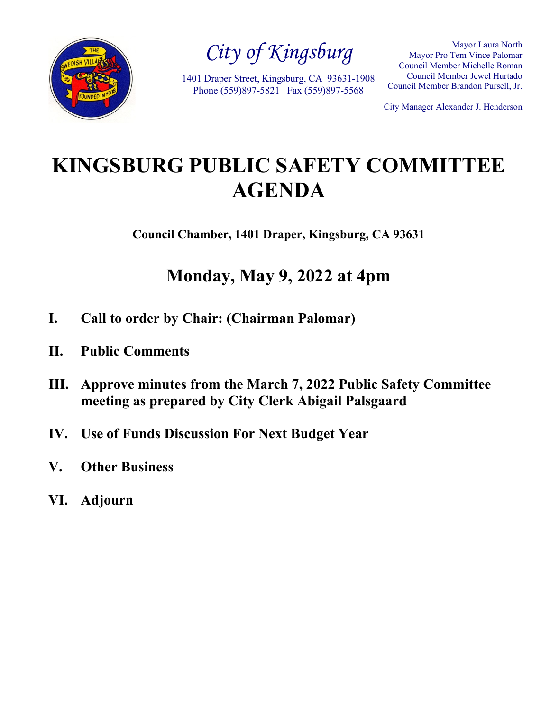

*City of Kingsburg*

1401 Draper Street, Kingsburg, CA 93631-1908 Phone (559)897-5821 Fax (559)897-5568

Mayor Laura North Mayor Pro Tem Vince Palomar Council Member Michelle Roman Council Member Jewel Hurtado Council Member Brandon Pursell, Jr.

City Manager Alexander J. Henderson

# **KINGSBURG PUBLIC SAFETY COMMITTEE AGENDA**

**Council Chamber, 1401 Draper, Kingsburg, CA 93631**

# **Monday, May 9, 2022 at 4pm**

- **I. Call to order by Chair: (Chairman Palomar)**
- **II. Public Comments**
- **III. Approve minutes from the March 7, 2022 Public Safety Committee meeting as prepared by City Clerk Abigail Palsgaard**
- **IV. Use of Funds Discussion For Next Budget Year**
- **V. Other Business**
- **VI. Adjourn**